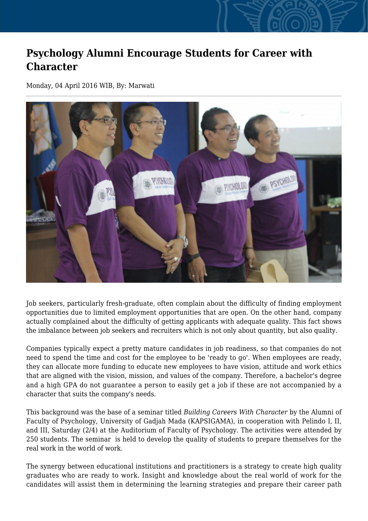## **Psychology Alumni Encourage Students for Career with Character**

Monday, 04 April 2016 WIB, By: Marwati



Job seekers, particularly fresh-graduate, often complain about the difficulty of finding employment opportunities due to limited employment opportunities that are open. On the other hand, company actually complained about the difficulty of getting applicants with adequate quality. This fact shows the imbalance between job seekers and recruiters which is not only about quantity, but also quality.

Companies typically expect a pretty mature candidates in job readiness, so that companies do not need to spend the time and cost for the employee to be 'ready to go'. When employees are ready, they can allocate more funding to educate new employees to have vision, attitude and work ethics that are aligned with the vision, mission, and values of the company. Therefore, a bachelor's degree and a high GPA do not guarantee a person to easily get a job if these are not accompanied by a character that suits the company's needs.

This background was the base of a seminar titled *Building Careers With Character* by the Alumni of Faculty of Psychology, University of Gadjah Mada (KAPSIGAMA), in cooperation with Pelindo I, II, and III, Saturday (2/4) at the Auditorium of Faculty of Psychology. The activities were attended by 250 students. The seminar is held to develop the quality of students to prepare themselves for the real work in the world of work.

The synergy between educational institutions and practitioners is a strategy to create high quality graduates who are ready to work. Insight and knowledge about the real world of work for the candidates will assist them in determining the learning strategies and prepare their career path